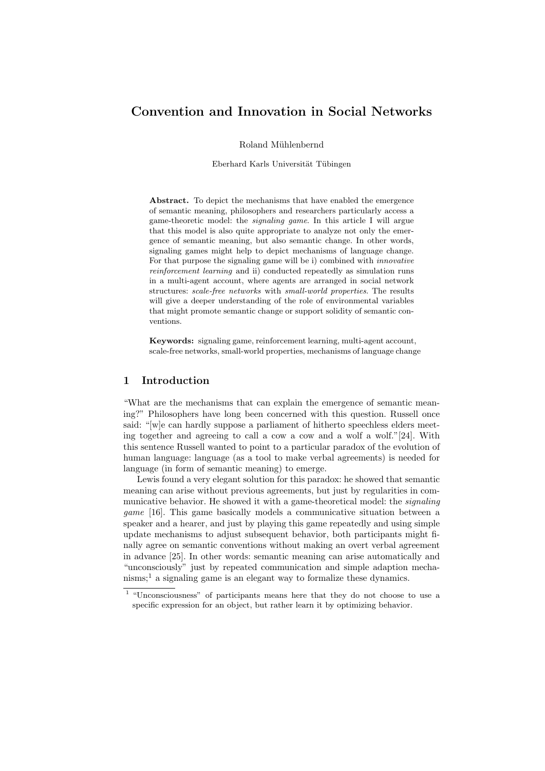# Convention and Innovation in Social Networks

Roland Mühlenbernd

Eberhard Karls Universität Tübingen

Abstract. To depict the mechanisms that have enabled the emergence of semantic meaning, philosophers and researchers particularly access a game-theoretic model: the signaling game. In this article I will argue that this model is also quite appropriate to analyze not only the emergence of semantic meaning, but also semantic change. In other words, signaling games might help to depict mechanisms of language change. For that purpose the signaling game will be i) combined with innovative reinforcement learning and ii) conducted repeatedly as simulation runs in a multi-agent account, where agents are arranged in social network structures: scale-free networks with small-world properties. The results will give a deeper understanding of the role of environmental variables that might promote semantic change or support solidity of semantic conventions.

Keywords: signaling game, reinforcement learning, multi-agent account, scale-free networks, small-world properties, mechanisms of language change

# 1 Introduction

"What are the mechanisms that can explain the emergence of semantic meaning?" Philosophers have long been concerned with this question. Russell once said: "[w]e can hardly suppose a parliament of hitherto speechless elders meeting together and agreeing to call a cow a cow and a wolf a wolf."[24]. With this sentence Russell wanted to point to a particular paradox of the evolution of human language: language (as a tool to make verbal agreements) is needed for language (in form of semantic meaning) to emerge.

Lewis found a very elegant solution for this paradox: he showed that semantic meaning can arise without previous agreements, but just by regularities in communicative behavior. He showed it with a game-theoretical model: the *signaling* game [16]. This game basically models a communicative situation between a speaker and a hearer, and just by playing this game repeatedly and using simple update mechanisms to adjust subsequent behavior, both participants might finally agree on semantic conventions without making an overt verbal agreement in advance [25]. In other words: semantic meaning can arise automatically and "unconsciously" just by repeated communication and simple adaption mechanisms;<sup>1</sup> a signaling game is an elegant way to formalize these dynamics.

<sup>1</sup> "Unconsciousness" of participants means here that they do not choose to use a specific expression for an object, but rather learn it by optimizing behavior.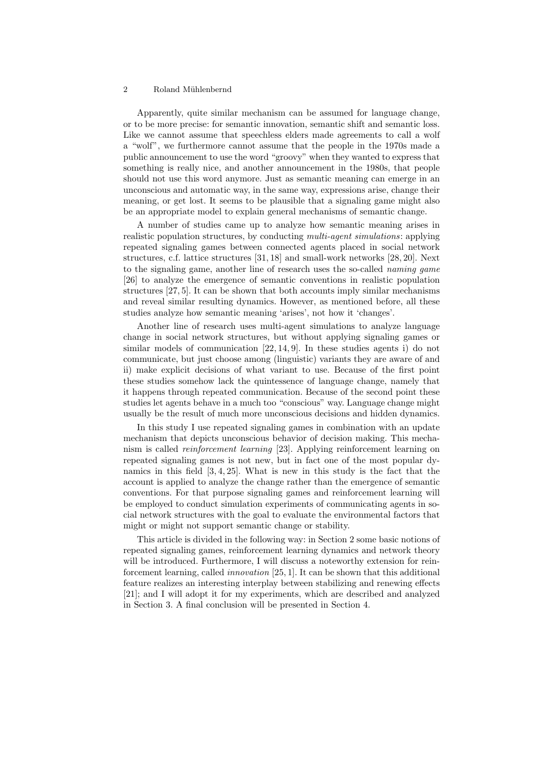#### 2 Roland Mühlenbernd

Apparently, quite similar mechanism can be assumed for language change, or to be more precise: for semantic innovation, semantic shift and semantic loss. Like we cannot assume that speechless elders made agreements to call a wolf a "wolf", we furthermore cannot assume that the people in the 1970s made a public announcement to use the word "groovy" when they wanted to express that something is really nice, and another announcement in the 1980s, that people should not use this word anymore. Just as semantic meaning can emerge in an unconscious and automatic way, in the same way, expressions arise, change their meaning, or get lost. It seems to be plausible that a signaling game might also be an appropriate model to explain general mechanisms of semantic change.

A number of studies came up to analyze how semantic meaning arises in realistic population structures, by conducting *multi-agent simulations*: applying repeated signaling games between connected agents placed in social network structures, c.f. lattice structures [31, 18] and small-work networks [28, 20]. Next to the signaling game, another line of research uses the so-called naming game [26] to analyze the emergence of semantic conventions in realistic population structures [27, 5]. It can be shown that both accounts imply similar mechanisms and reveal similar resulting dynamics. However, as mentioned before, all these studies analyze how semantic meaning 'arises', not how it 'changes'.

Another line of research uses multi-agent simulations to analyze language change in social network structures, but without applying signaling games or similar models of communication [22, 14, 9]. In these studies agents i) do not communicate, but just choose among (linguistic) variants they are aware of and ii) make explicit decisions of what variant to use. Because of the first point these studies somehow lack the quintessence of language change, namely that it happens through repeated communication. Because of the second point these studies let agents behave in a much too "conscious" way. Language change might usually be the result of much more unconscious decisions and hidden dynamics.

In this study I use repeated signaling games in combination with an update mechanism that depicts unconscious behavior of decision making. This mechanism is called reinforcement learning [23]. Applying reinforcement learning on repeated signaling games is not new, but in fact one of the most popular dynamics in this field [3, 4, 25]. What is new in this study is the fact that the account is applied to analyze the change rather than the emergence of semantic conventions. For that purpose signaling games and reinforcement learning will be employed to conduct simulation experiments of communicating agents in social network structures with the goal to evaluate the environmental factors that might or might not support semantic change or stability.

This article is divided in the following way: in Section 2 some basic notions of repeated signaling games, reinforcement learning dynamics and network theory will be introduced. Furthermore, I will discuss a noteworthy extension for reinforcement learning, called innovation [25, 1]. It can be shown that this additional feature realizes an interesting interplay between stabilizing and renewing effects [21]; and I will adopt it for my experiments, which are described and analyzed in Section 3. A final conclusion will be presented in Section 4.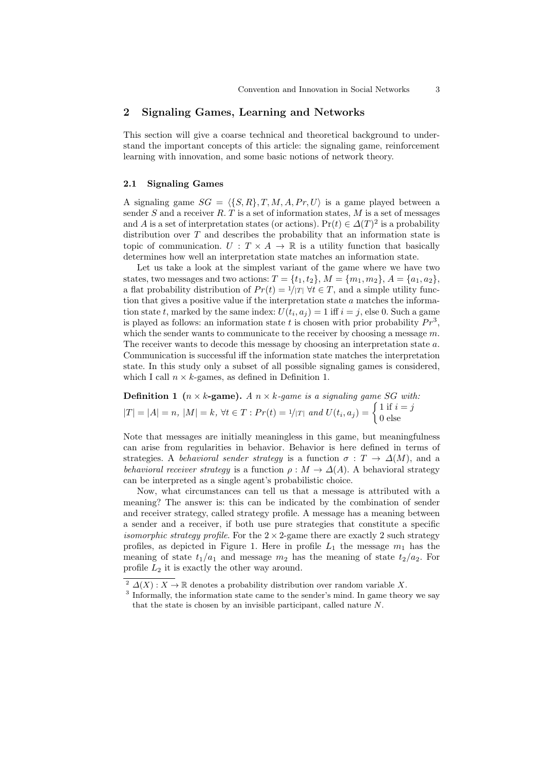# 2 Signaling Games, Learning and Networks

This section will give a coarse technical and theoretical background to understand the important concepts of this article: the signaling game, reinforcement learning with innovation, and some basic notions of network theory.

## 2.1 Signaling Games

A signaling game  $SG = \langle \{S, R\}, T, M, A, Pr, U \rangle$  is a game played between a sender S and a receiver R. T is a set of information states,  $M$  is a set of messages and A is a set of interpretation states (or actions).  $Pr(t) \in \Delta(T)^2$  is a probability distribution over  $T$  and describes the probability that an information state is topic of communication.  $U: T \times A \rightarrow \mathbb{R}$  is a utility function that basically determines how well an interpretation state matches an information state.

Let us take a look at the simplest variant of the game where we have two states, two messages and two actions:  $T = \{t_1, t_2\}, M = \{m_1, m_2\}, A = \{a_1, a_2\},\$ a flat probability distribution of  $Pr(t) = 1/|T| \forall t \in T$ , and a simple utility function that gives a positive value if the interpretation state  $a$  matches the information state t, marked by the same index:  $U(t_i, a_j) = 1$  iff  $i = j$ , else 0. Such a game is played as follows: an information state t is chosen with prior probability  $Pr<sup>3</sup>$ , which the sender wants to communicate to the receiver by choosing a message  $m$ . The receiver wants to decode this message by choosing an interpretation state a. Communication is successful iff the information state matches the interpretation state. In this study only a subset of all possible signaling games is considered, which I call  $n \times k$ -games, as defined in Definition 1.

**Definition 1** ( $n \times k$ -game). A  $n \times k$ -game is a signaling game SG with:  $|T| = |A| = n, |M| = k, \forall t \in T : Pr(t) = 1/|T| \text{ and } U(t_i, a_j) = \begin{cases} 1 & \text{if } i = j \\ 0 & \text{else} \end{cases}$ 0 else

Note that messages are initially meaningless in this game, but meaningfulness can arise from regularities in behavior. Behavior is here defined in terms of strategies. A behavioral sender strategy is a function  $\sigma : T \to \Delta(M)$ , and a behavioral receiver strategy is a function  $\rho : M \to \Delta(A)$ . A behavioral strategy can be interpreted as a single agent's probabilistic choice.

Now, what circumstances can tell us that a message is attributed with a meaning? The answer is: this can be indicated by the combination of sender and receiver strategy, called strategy profile. A message has a meaning between a sender and a receiver, if both use pure strategies that constitute a specific isomorphic strategy profile. For the  $2 \times 2$ -game there are exactly 2 such strategy profiles, as depicted in Figure 1. Here in profile  $L_1$  the message  $m_1$  has the meaning of state  $t_1/a_1$  and message  $m_2$  has the meaning of state  $t_2/a_2$ . For profile  $L_2$  it is exactly the other way around.

<sup>&</sup>lt;sup>2</sup>  $\Delta(X)$ :  $X \to \mathbb{R}$  denotes a probability distribution over random variable X.

<sup>&</sup>lt;sup>3</sup> Informally, the information state came to the sender's mind. In game theory we say that the state is chosen by an invisible participant, called nature N.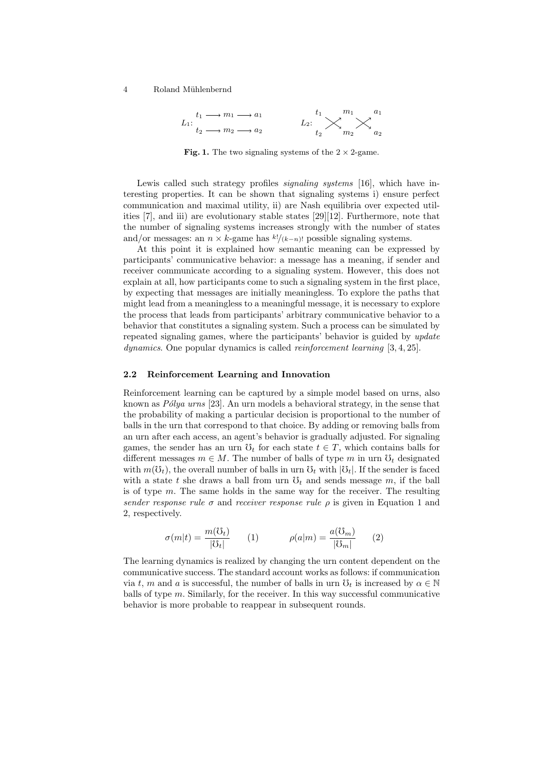

Fig. 1. The two signaling systems of the  $2 \times 2$ -game.

Lewis called such strategy profiles *signaling systems* [16], which have interesting properties. It can be shown that signaling systems i) ensure perfect communication and maximal utility, ii) are Nash equilibria over expected utilities [7], and iii) are evolutionary stable states [29][12]. Furthermore, note that the number of signaling systems increases strongly with the number of states and/or messages: an  $n \times k$ -game has  $\frac{k!}{(k-n)!}$  possible signaling systems.

At this point it is explained how semantic meaning can be expressed by participants' communicative behavior: a message has a meaning, if sender and receiver communicate according to a signaling system. However, this does not explain at all, how participants come to such a signaling system in the first place, by expecting that messages are initially meaningless. To explore the paths that might lead from a meaningless to a meaningful message, it is necessary to explore the process that leads from participants' arbitrary communicative behavior to a behavior that constitutes a signaling system. Such a process can be simulated by repeated signaling games, where the participants' behavior is guided by update dynamics. One popular dynamics is called *reinforcement learning* [3, 4, 25].

#### 2.2 Reinforcement Learning and Innovation

Reinforcement learning can be captured by a simple model based on urns, also known as  $P\'{o}lya$  urns [23]. An urn models a behavioral strategy, in the sense that the probability of making a particular decision is proportional to the number of balls in the urn that correspond to that choice. By adding or removing balls from an urn after each access, an agent's behavior is gradually adjusted. For signaling games, the sender has an urn  $\mathcal{O}_t$  for each state  $t \in T$ , which contains balls for different messages  $m \in M$ . The number of balls of type m in urn  $\mathcal{O}_t$  designated with  $m(\mathcal{O}_t)$ , the overall number of balls in urn  $\mathcal{O}_t$  with  $|\mathcal{O}_t|$ . If the sender is faced with a state t she draws a ball from urn  $\mathcal{O}_t$  and sends message m, if the ball is of type  $m$ . The same holds in the same way for the receiver. The resulting sender response rule  $\sigma$  and receiver response rule  $\rho$  is given in Equation 1 and 2, respectively.

$$
\sigma(m|t) = \frac{m(\mathcal{O}_t)}{|\mathcal{O}_t|} \qquad (1) \qquad \rho(a|m) = \frac{a(\mathcal{O}_m)}{|\mathcal{O}_m|} \qquad (2)
$$

The learning dynamics is realized by changing the urn content dependent on the communicative success. The standard account works as follows: if communication via t, m and a is successful, the number of balls in urn  $\mathcal{O}_t$  is increased by  $\alpha \in \mathbb{N}$ balls of type m. Similarly, for the receiver. In this way successful communicative behavior is more probable to reappear in subsequent rounds.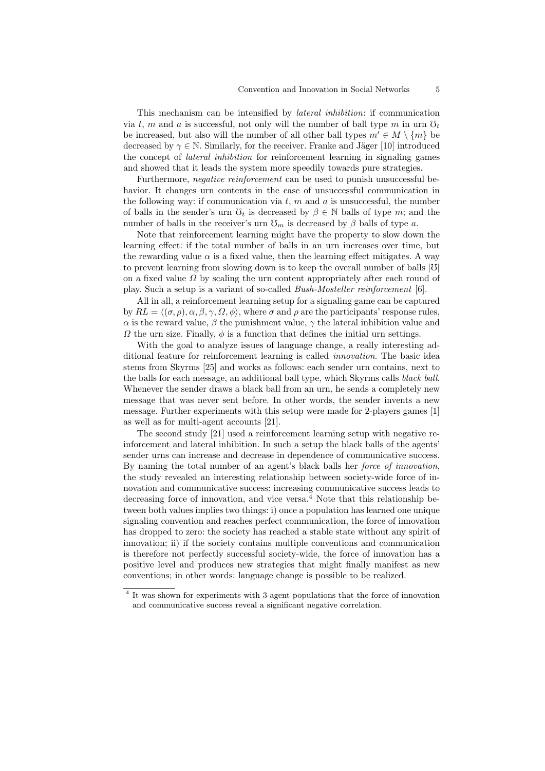This mechanism can be intensified by lateral inhibition: if communication via t, m and a is successful, not only will the number of ball type m in urn  $\mathfrak{O}_t$ be increased, but also will the number of all other ball types  $m' \in M \setminus \{m\}$  be decreased by  $\gamma \in \mathbb{N}$ . Similarly, for the receiver. Franke and Jäger [10] introduced the concept of lateral inhibition for reinforcement learning in signaling games and showed that it leads the system more speedily towards pure strategies.

Furthermore, *negative reinforcement* can be used to punish unsuccessful behavior. It changes urn contents in the case of unsuccessful communication in the following way: if communication via  $t, m$  and  $a$  is unsuccessful, the number of balls in the sender's urn  $\mathfrak{V}_t$  is decreased by  $\beta \in \mathbb{N}$  balls of type m; and the number of balls in the receiver's urn  $\mathfrak{S}_m$  is decreased by  $\beta$  balls of type a.

Note that reinforcement learning might have the property to slow down the learning effect: if the total number of balls in an urn increases over time, but the rewarding value  $\alpha$  is a fixed value, then the learning effect mitigates. A way to prevent learning from slowing down is to keep the overall number of balls  $|\mathcal{V}|$ on a fixed value  $\Omega$  by scaling the urn content appropriately after each round of play. Such a setup is a variant of so-called Bush-Mosteller reinforcement [6].

All in all, a reinforcement learning setup for a signaling game can be captured by  $RL = \langle (\sigma, \rho), \alpha, \beta, \gamma, \Omega, \phi \rangle$ , where  $\sigma$  and  $\rho$  are the participants' response rules,  $\alpha$  is the reward value,  $\beta$  the punishment value,  $\gamma$  the lateral inhibition value and  $\Omega$  the urn size. Finally,  $\phi$  is a function that defines the initial urn settings.

With the goal to analyze issues of language change, a really interesting additional feature for reinforcement learning is called innovation. The basic idea stems from Skyrms [25] and works as follows: each sender urn contains, next to the balls for each message, an additional ball type, which Skyrms calls black ball. Whenever the sender draws a black ball from an urn, he sends a completely new message that was never sent before. In other words, the sender invents a new message. Further experiments with this setup were made for 2-players games [1] as well as for multi-agent accounts [21].

The second study [21] used a reinforcement learning setup with negative reinforcement and lateral inhibition. In such a setup the black balls of the agents' sender urns can increase and decrease in dependence of communicative success. By naming the total number of an agent's black balls her force of innovation, the study revealed an interesting relationship between society-wide force of innovation and communicative success: increasing communicative success leads to decreasing force of innovation, and vice versa. $4$  Note that this relationship between both values implies two things: i) once a population has learned one unique signaling convention and reaches perfect communication, the force of innovation has dropped to zero: the society has reached a stable state without any spirit of innovation; ii) if the society contains multiple conventions and communication is therefore not perfectly successful society-wide, the force of innovation has a positive level and produces new strategies that might finally manifest as new conventions; in other words: language change is possible to be realized.

<sup>&</sup>lt;sup>4</sup> It was shown for experiments with 3-agent populations that the force of innovation and communicative success reveal a significant negative correlation.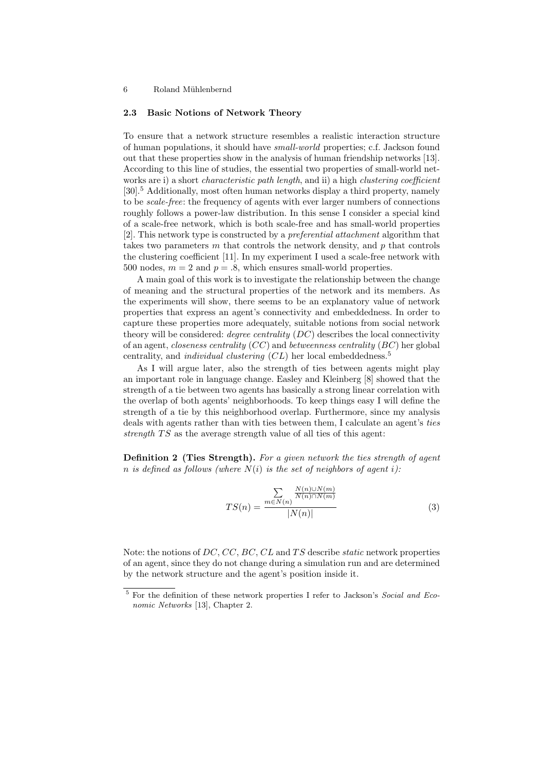### 6 Roland Mühlenbernd

### 2.3 Basic Notions of Network Theory

To ensure that a network structure resembles a realistic interaction structure of human populations, it should have small-world properties; c.f. Jackson found out that these properties show in the analysis of human friendship networks [13]. According to this line of studies, the essential two properties of small-world networks are i) a short *characteristic path length*, and ii) a high *clustering coefficient* [30].<sup>5</sup> Additionally, most often human networks display a third property, namely to be scale-free: the frequency of agents with ever larger numbers of connections roughly follows a power-law distribution. In this sense I consider a special kind of a scale-free network, which is both scale-free and has small-world properties [2]. This network type is constructed by a preferential attachment algorithm that takes two parameters  $m$  that controls the network density, and  $p$  that controls the clustering coefficient [11]. In my experiment I used a scale-free network with 500 nodes,  $m = 2$  and  $p = .8$ , which ensures small-world properties.

A main goal of this work is to investigate the relationship between the change of meaning and the structural properties of the network and its members. As the experiments will show, there seems to be an explanatory value of network properties that express an agent's connectivity and embeddedness. In order to capture these properties more adequately, suitable notions from social network theory will be considered: *degree centrality*  $(DC)$  describes the local connectivity of an agent, *closeness centrality*  $(CC)$  and *betweenness centrality*  $(BC)$  her global centrality, and *individual clustering*  $CL$ ) her local embeddedness.<sup>5</sup>

As I will argue later, also the strength of ties between agents might play an important role in language change. Easley and Kleinberg [8] showed that the strength of a tie between two agents has basically a strong linear correlation with the overlap of both agents' neighborhoods. To keep things easy I will define the strength of a tie by this neighborhood overlap. Furthermore, since my analysis deals with agents rather than with ties between them, I calculate an agent's ties strength  $TS$  as the average strength value of all ties of this agent:

Definition 2 (Ties Strength). For a given network the ties strength of agent n is defined as follows (where  $N(i)$  is the set of neighbors of agent i):

$$
TS(n) = \frac{\sum\limits_{m \in N(n)} \frac{N(n) \cup N(m)}{N(n) \cap N(m)}}{|N(n)|}
$$
(3)

Note: the notions of  $DC$ ,  $CC$ ,  $BC$ ,  $CL$  and  $TS$  describe *static* network properties of an agent, since they do not change during a simulation run and are determined by the network structure and the agent's position inside it.

 $^5$  For the definition of these network properties I refer to Jackson's *Social and Eco*nomic Networks [13], Chapter 2.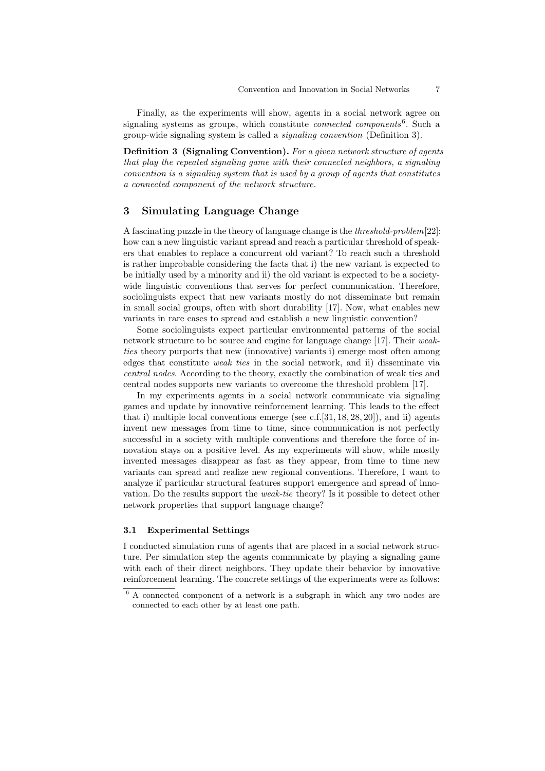Finally, as the experiments will show, agents in a social network agree on signaling systems as groups, which constitute *connected components*<sup>6</sup>. Such a group-wide signaling system is called a signaling convention (Definition 3).

**Definition 3 (Signaling Convention).** For a given network structure of agents that play the repeated signaling game with their connected neighbors, a signaling convention is a signaling system that is used by a group of agents that constitutes a connected component of the network structure.

# 3 Simulating Language Change

A fascinating puzzle in the theory of language change is the threshold-problem[22]: how can a new linguistic variant spread and reach a particular threshold of speakers that enables to replace a concurrent old variant? To reach such a threshold is rather improbable considering the facts that i) the new variant is expected to be initially used by a minority and ii) the old variant is expected to be a societywide linguistic conventions that serves for perfect communication. Therefore, sociolinguists expect that new variants mostly do not disseminate but remain in small social groups, often with short durability [17]. Now, what enables new variants in rare cases to spread and establish a new linguistic convention?

Some sociolinguists expect particular environmental patterns of the social network structure to be source and engine for language change [17]. Their weakties theory purports that new (innovative) variants i) emerge most often among edges that constitute weak ties in the social network, and ii) disseminate via central nodes. According to the theory, exactly the combination of weak ties and central nodes supports new variants to overcome the threshold problem [17].

In my experiments agents in a social network communicate via signaling games and update by innovative reinforcement learning. This leads to the effect that i) multiple local conventions emerge (see  $c.f.[31, 18, 28, 20]$ ), and ii) agents invent new messages from time to time, since communication is not perfectly successful in a society with multiple conventions and therefore the force of innovation stays on a positive level. As my experiments will show, while mostly invented messages disappear as fast as they appear, from time to time new variants can spread and realize new regional conventions. Therefore, I want to analyze if particular structural features support emergence and spread of innovation. Do the results support the weak-tie theory? Is it possible to detect other network properties that support language change?

## 3.1 Experimental Settings

I conducted simulation runs of agents that are placed in a social network structure. Per simulation step the agents communicate by playing a signaling game with each of their direct neighbors. They update their behavior by innovative reinforcement learning. The concrete settings of the experiments were as follows:

<sup>6</sup> A connected component of a network is a subgraph in which any two nodes are connected to each other by at least one path.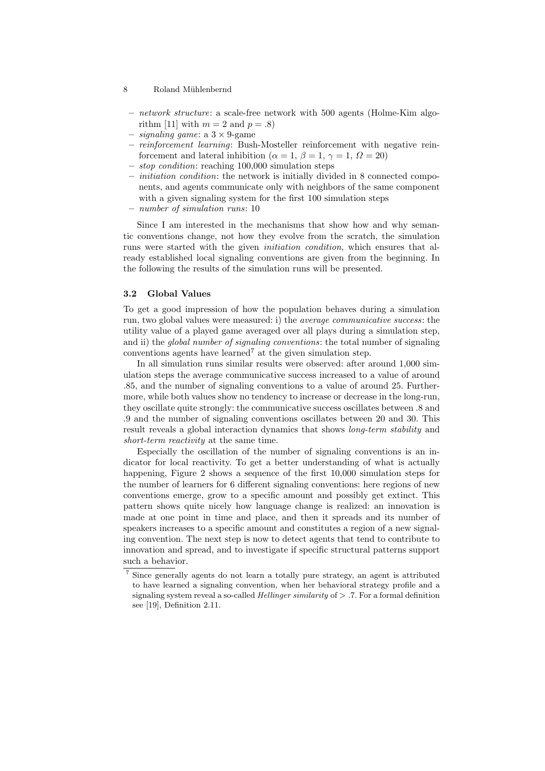### 8 Roland Mühlenbernd

- network structure: a scale-free network with 500 agents (Holme-Kim algorithm [11] with  $m = 2$  and  $p = .8$ )
- $-$  signaling game: a  $3 \times 9$ -game
- reinforcement learning: Bush-Mosteller reinforcement with negative reinforcement and lateral inhibition ( $\alpha = 1, \beta = 1, \gamma = 1, \Omega = 20$ )
- stop condition: reaching 100,000 simulation steps
- initiation condition: the network is initially divided in 8 connected components, and agents communicate only with neighbors of the same component with a given signaling system for the first 100 simulation steps
- number of simulation runs: 10

Since I am interested in the mechanisms that show how and why semantic conventions change, not how they evolve from the scratch, the simulation runs were started with the given initiation condition, which ensures that already established local signaling conventions are given from the beginning. In the following the results of the simulation runs will be presented.

### 3.2 Global Values

To get a good impression of how the population behaves during a simulation run, two global values were measured: i) the average communicative success: the utility value of a played game averaged over all plays during a simulation step, and ii) the *global number of signaling conventions*: the total number of signaling conventions agents have learned<sup>7</sup> at the given simulation step.

In all simulation runs similar results were observed: after around 1,000 simulation steps the average communicative success increased to a value of around .85, and the number of signaling conventions to a value of around 25. Furthermore, while both values show no tendency to increase or decrease in the long-run, they oscillate quite strongly: the communicative success oscillates between .8 and .9 and the number of signaling conventions oscillates between 20 and 30. This result reveals a global interaction dynamics that shows long-term stability and short-term reactivity at the same time.

Especially the oscillation of the number of signaling conventions is an indicator for local reactivity. To get a better understanding of what is actually happening, Figure 2 shows a sequence of the first 10,000 simulation steps for the number of learners for 6 different signaling conventions: here regions of new conventions emerge, grow to a specific amount and possibly get extinct. This pattern shows quite nicely how language change is realized: an innovation is made at one point in time and place, and then it spreads and its number of speakers increases to a specific amount and constitutes a region of a new signaling convention. The next step is now to detect agents that tend to contribute to innovation and spread, and to investigate if specific structural patterns support such a behavior.

<sup>7</sup> Since generally agents do not learn a totally pure strategy, an agent is attributed to have learned a signaling convention, when her behavioral strategy profile and a signaling system reveal a so-called *Hellinger similarity* of  $> .7$ . For a formal definition see [19], Definition 2.11.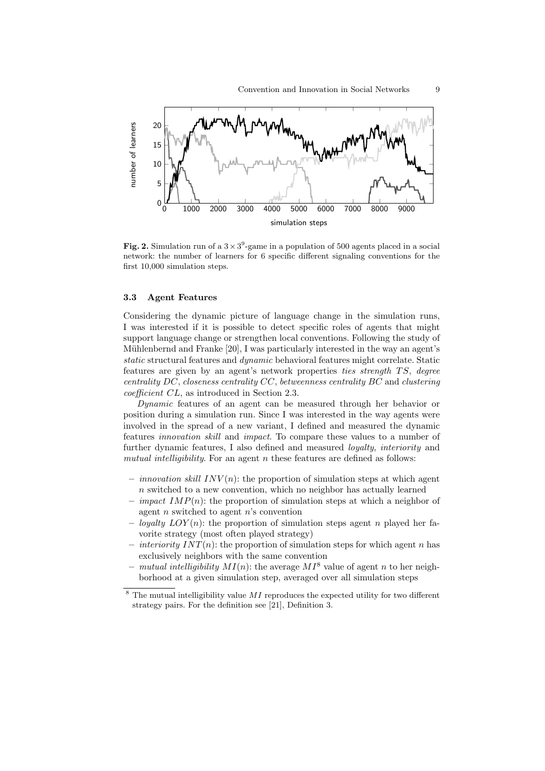

Fig. 2. Simulation run of a  $3 \times 3^9$ -game in a population of 500 agents placed in a social network: the number of learners for 6 specific different signaling conventions for the first 10,000 simulation steps.

### 3.3 Agent Features

Considering the dynamic picture of language change in the simulation runs, I was interested if it is possible to detect specific roles of agents that might support language change or strengthen local conventions. Following the study of Mühlenbernd and Franke  $[20]$ , I was particularly interested in the way an agent's static structural features and dynamic behavioral features might correlate. Static features are given by an agent's network properties ties strength TS, degree centrality DC, closeness centrality CC, betweenness centrality BC and clustering coefficient CL, as introduced in Section 2.3.

Dynamic features of an agent can be measured through her behavior or position during a simulation run. Since I was interested in the way agents were involved in the spread of a new variant, I defined and measured the dynamic features innovation skill and impact. To compare these values to a number of further dynamic features, I also defined and measured loyalty, interiority and mutual intelligibility. For an agent  $n$  these features are defined as follows:

- *innovation skill INV(n)*: the proportion of simulation steps at which agent n switched to a new convention, which no neighbor has actually learned
- *impact IMP(n)*: the proportion of simulation steps at which a neighbor of agent  $n$  switched to agent  $n$ 's convention
- loyalty  $LOY(n)$ : the proportion of simulation steps agent n played her favorite strategy (most often played strategy)
- *interiority INT(n)*: the proportion of simulation steps for which agent n has exclusively neighbors with the same convention
- *mutual intelligibility MI(n)*: the average  $MI^8$  value of agent n to her neighborhood at a given simulation step, averaged over all simulation steps
- $8$  The mutual intelligibility value  $MI$  reproduces the expected utility for two different strategy pairs. For the definition see [21], Definition 3.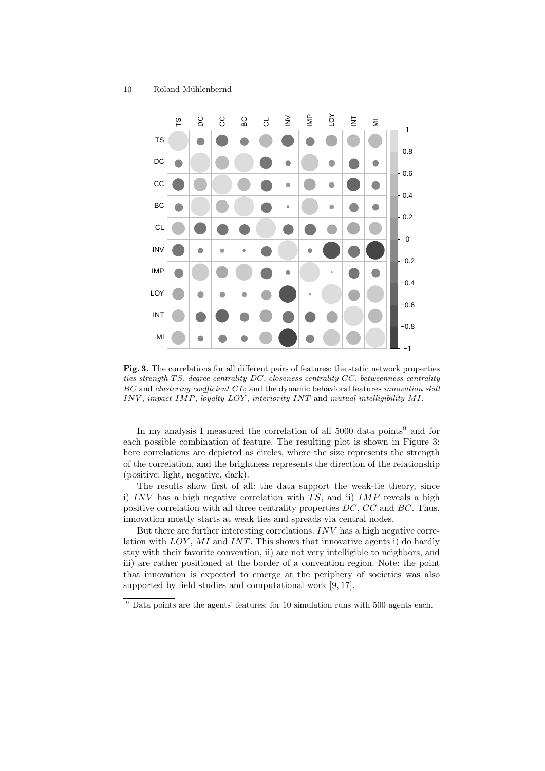

Fig. 3. The correlations for all different pairs of features: the static network properties ties strength TS, degree centrality  $DC$ , closeness centrality  $CC$ , betweenness centrality BC and clustering coefficient CL; and the dynamic behavioral features innovation skill INV , impact IMP, loyalty LOY , interiority INT and mutual intelligibility MI.

In my analysis I measured the correlation of all  $5000$  data points<sup>9</sup> and for each possible combination of feature. The resulting plot is shown in Figure 3: here correlations are depicted as circles, where the size represents the strength of the correlation, and the brightness represents the direction of the relationship (positive: light, negative, dark).

The results show first of all: the data support the weak-tie theory, since i) INV has a high negative correlation with  $TS$ , and ii) IMP reveals a high positive correlation with all three centrality properties DC, CC and BC. Thus, innovation mostly starts at weak ties and spreads via central nodes.

But there are further interesting correlations. INV has a high negative correlation with  $LOY$ , MI and INT. This shows that innovative agents i) do hardly stay with their favorite convention, ii) are not very intelligible to neighbors, and iii) are rather positioned at the border of a convention region. Note: the point that innovation is expected to emerge at the periphery of societies was also supported by field studies and computational work [9, 17].

 $9$  Data points are the agents' features; for 10 simulation runs with 500 agents each.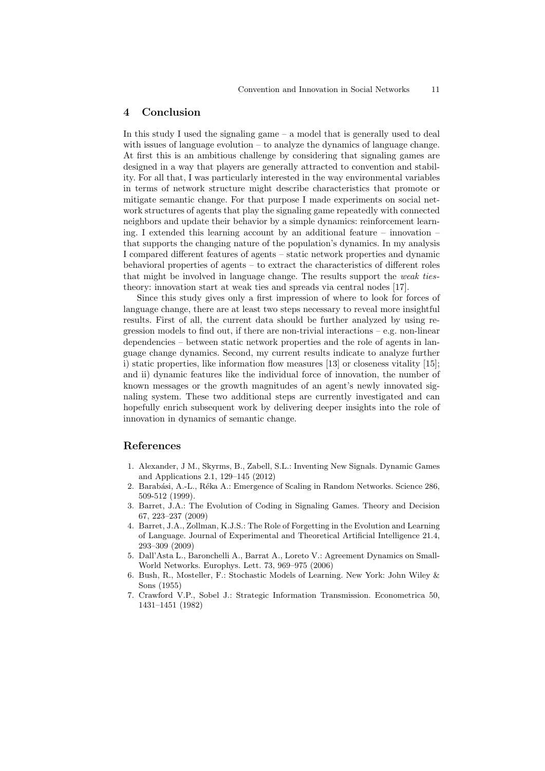## 4 Conclusion

In this study I used the signaling game  $-$  a model that is generally used to deal with issues of language evolution – to analyze the dynamics of language change. At first this is an ambitious challenge by considering that signaling games are designed in a way that players are generally attracted to convention and stability. For all that, I was particularly interested in the way environmental variables in terms of network structure might describe characteristics that promote or mitigate semantic change. For that purpose I made experiments on social network structures of agents that play the signaling game repeatedly with connected neighbors and update their behavior by a simple dynamics: reinforcement learning. I extended this learning account by an additional feature – innovation – that supports the changing nature of the population's dynamics. In my analysis I compared different features of agents – static network properties and dynamic behavioral properties of agents – to extract the characteristics of different roles that might be involved in language change. The results support the weak tiestheory: innovation start at weak ties and spreads via central nodes [17].

Since this study gives only a first impression of where to look for forces of language change, there are at least two steps necessary to reveal more insightful results. First of all, the current data should be further analyzed by using regression models to find out, if there are non-trivial interactions – e.g. non-linear dependencies – between static network properties and the role of agents in language change dynamics. Second, my current results indicate to analyze further i) static properties, like information flow measures [13] or closeness vitality [15]; and ii) dynamic features like the individual force of innovation, the number of known messages or the growth magnitudes of an agent's newly innovated signaling system. These two additional steps are currently investigated and can hopefully enrich subsequent work by delivering deeper insights into the role of innovation in dynamics of semantic change.

### References

- 1. Alexander, J M., Skyrms, B., Zabell, S.L.: Inventing New Signals. Dynamic Games and Applications 2.1, 129–145 (2012)
- 2. Barabási, A.-L., Réka A.: Emergence of Scaling in Random Networks. Science 286, 509-512 (1999).
- 3. Barret, J.A.: The Evolution of Coding in Signaling Games. Theory and Decision 67, 223–237 (2009)
- 4. Barret, J.A., Zollman, K.J.S.: The Role of Forgetting in the Evolution and Learning of Language. Journal of Experimental and Theoretical Artificial Intelligence 21.4, 293–309 (2009)
- 5. Dall'Asta L., Baronchelli A., Barrat A., Loreto V.: Agreement Dynamics on Small-World Networks. Europhys. Lett. 73, 969–975 (2006)
- 6. Bush, R., Mosteller, F.: Stochastic Models of Learning. New York: John Wiley & Sons (1955)
- 7. Crawford V.P., Sobel J.: Strategic Information Transmission. Econometrica 50, 1431–1451 (1982)